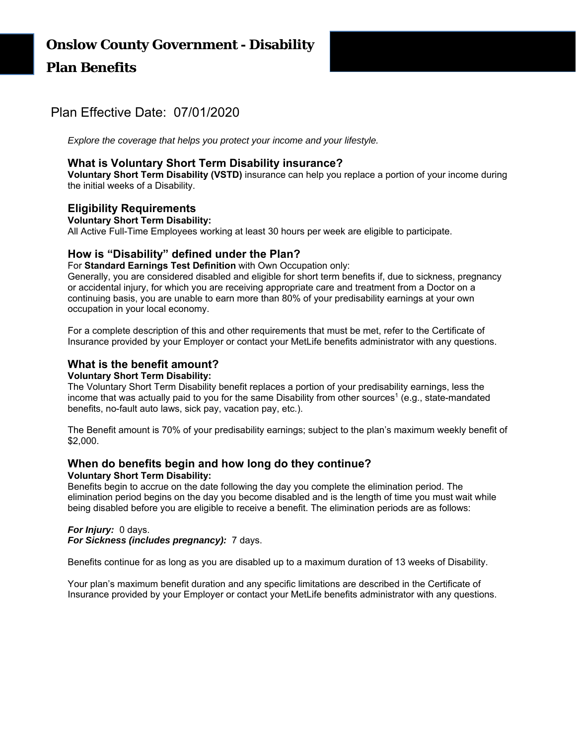# Plan Effective Date: 07/01/2020

*Explore the coverage that helps you protect your income and your lifestyle.*

# **What is Voluntary Short Term Disability insurance?**

**Voluntary Short Term Disability (VSTD)** insurance can help you replace a portion of your income during the initial weeks of a Disability.

# **Eligibility Requirements**

#### **Voluntary Short Term Disability:**

All Active Full-Time Employees working at least 30 hours per week are eligible to participate.

# **How is "Disability" defined under the Plan?**

For **Standard Earnings Test Definition** with Own Occupation only:

Generally, you are considered disabled and eligible for short term benefits if, due to sickness, pregnancy or accidental injury, for which you are receiving appropriate care and treatment from a Doctor on a continuing basis, you are unable to earn more than 80% of your predisability earnings at your own occupation in your local economy.

For a complete description of this and other requirements that must be met, refer to the Certificate of Insurance provided by your Employer or contact your MetLife benefits administrator with any questions.

## **What is the benefit amount?**

#### **Voluntary Short Term Disability:**

The Voluntary Short Term Disability benefit replaces a portion of your predisability earnings, less the income that was actually paid to you for the same Disability from other sources<sup>1</sup> (e.g., state-mandated benefits, no-fault auto laws, sick pay, vacation pay, etc.).

The Benefit amount is 70% of your predisability earnings; subject to the plan's maximum weekly benefit of \$2,000.

#### **When do benefits begin and how long do they continue? Voluntary Short Term Disability:**

Benefits begin to accrue on the date following the day you complete the elimination period. The elimination period begins on the day you become disabled and is the length of time you must wait while being disabled before you are eligible to receive a benefit. The elimination periods are as follows:

## *For Injury:* 0 days.

*For Sickness (includes pregnancy):* 7 days.

Benefits continue for as long as you are disabled up to a maximum duration of 13 weeks of Disability.

Your plan's maximum benefit duration and any specific limitations are described in the Certificate of Insurance provided by your Employer or contact your MetLife benefits administrator with any questions.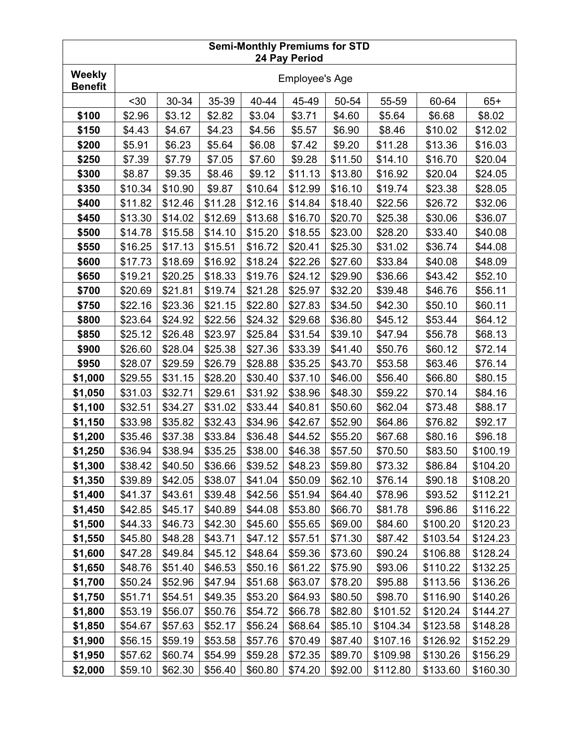| <b>Semi-Monthly Premiums for STD</b><br>24 Pay Period |                       |         |         |         |         |         |          |          |          |
|-------------------------------------------------------|-----------------------|---------|---------|---------|---------|---------|----------|----------|----------|
| Weekly<br><b>Benefit</b>                              | <b>Employee's Age</b> |         |         |         |         |         |          |          |          |
|                                                       | $30$                  | 30-34   | 35-39   | 40-44   | 45-49   | 50-54   | 55-59    | 60-64    | $65+$    |
| \$100                                                 | \$2.96                | \$3.12  | \$2.82  | \$3.04  | \$3.71  | \$4.60  | \$5.64   | \$6.68   | \$8.02   |
| \$150                                                 | \$4.43                | \$4.67  | \$4.23  | \$4.56  | \$5.57  | \$6.90  | \$8.46   | \$10.02  | \$12.02  |
| \$200                                                 | \$5.91                | \$6.23  | \$5.64  | \$6.08  | \$7.42  | \$9.20  | \$11.28  | \$13.36  | \$16.03  |
| \$250                                                 | \$7.39                | \$7.79  | \$7.05  | \$7.60  | \$9.28  | \$11.50 | \$14.10  | \$16.70  | \$20.04  |
| \$300                                                 | \$8.87                | \$9.35  | \$8.46  | \$9.12  | \$11.13 | \$13.80 | \$16.92  | \$20.04  | \$24.05  |
| \$350                                                 | \$10.34               | \$10.90 | \$9.87  | \$10.64 | \$12.99 | \$16.10 | \$19.74  | \$23.38  | \$28.05  |
| \$400                                                 | \$11.82               | \$12.46 | \$11.28 | \$12.16 | \$14.84 | \$18.40 | \$22.56  | \$26.72  | \$32.06  |
| \$450                                                 | \$13.30               | \$14.02 | \$12.69 | \$13.68 | \$16.70 | \$20.70 | \$25.38  | \$30.06  | \$36.07  |
| \$500                                                 | \$14.78               | \$15.58 | \$14.10 | \$15.20 | \$18.55 | \$23.00 | \$28.20  | \$33.40  | \$40.08  |
| \$550                                                 | \$16.25               | \$17.13 | \$15.51 | \$16.72 | \$20.41 | \$25.30 | \$31.02  | \$36.74  | \$44.08  |
| \$600                                                 | \$17.73               | \$18.69 | \$16.92 | \$18.24 | \$22.26 | \$27.60 | \$33.84  | \$40.08  | \$48.09  |
| \$650                                                 | \$19.21               | \$20.25 | \$18.33 | \$19.76 | \$24.12 | \$29.90 | \$36.66  | \$43.42  | \$52.10  |
| \$700                                                 | \$20.69               | \$21.81 | \$19.74 | \$21.28 | \$25.97 | \$32.20 | \$39.48  | \$46.76  | \$56.11  |
| \$750                                                 | \$22.16               | \$23.36 | \$21.15 | \$22.80 | \$27.83 | \$34.50 | \$42.30  | \$50.10  | \$60.11  |
| \$800                                                 | \$23.64               | \$24.92 | \$22.56 | \$24.32 | \$29.68 | \$36.80 | \$45.12  | \$53.44  | \$64.12  |
| \$850                                                 | \$25.12               | \$26.48 | \$23.97 | \$25.84 | \$31.54 | \$39.10 | \$47.94  | \$56.78  | \$68.13  |
| \$900                                                 | \$26.60               | \$28.04 | \$25.38 | \$27.36 | \$33.39 | \$41.40 | \$50.76  | \$60.12  | \$72.14  |
| \$950                                                 | \$28.07               | \$29.59 | \$26.79 | \$28.88 | \$35.25 | \$43.70 | \$53.58  | \$63.46  | \$76.14  |
| \$1,000                                               | \$29.55               | \$31.15 | \$28.20 | \$30.40 | \$37.10 | \$46.00 | \$56.40  | \$66.80  | \$80.15  |
| \$1,050                                               | \$31.03               | \$32.71 | \$29.61 | \$31.92 | \$38.96 | \$48.30 | \$59.22  | \$70.14  | \$84.16  |
| \$1,100                                               | \$32.51               | \$34.27 | \$31.02 | \$33.44 | \$40.81 | \$50.60 | \$62.04  | \$73.48  | \$88.17  |
| \$1,150                                               | \$33.98               | \$35.82 | \$32.43 | \$34.96 | \$42.67 | \$52.90 | \$64.86  | \$76.82  | \$92.17  |
| \$1,200                                               | \$35.46               | \$37.38 | \$33.84 | \$36.48 | \$44.52 | \$55.20 | \$67.68  | \$80.16  | \$96.18  |
| \$1,250                                               | \$36.94               | \$38.94 | \$35.25 | \$38.00 | \$46.38 | \$57.50 | \$70.50  | \$83.50  | \$100.19 |
| \$1,300                                               | \$38.42               | \$40.50 | \$36.66 | \$39.52 | \$48.23 | \$59.80 | \$73.32  | \$86.84  | \$104.20 |
| \$1,350                                               | \$39.89               | \$42.05 | \$38.07 | \$41.04 | \$50.09 | \$62.10 | \$76.14  | \$90.18  | \$108.20 |
| \$1,400                                               | \$41.37               | \$43.61 | \$39.48 | \$42.56 | \$51.94 | \$64.40 | \$78.96  | \$93.52  | \$112.21 |
| \$1,450                                               | \$42.85               | \$45.17 | \$40.89 | \$44.08 | \$53.80 | \$66.70 | \$81.78  | \$96.86  | \$116.22 |
| \$1,500                                               | \$44.33               | \$46.73 | \$42.30 | \$45.60 | \$55.65 | \$69.00 | \$84.60  | \$100.20 | \$120.23 |
| \$1,550                                               | \$45.80               | \$48.28 | \$43.71 | \$47.12 | \$57.51 | \$71.30 | \$87.42  | \$103.54 | \$124.23 |
| \$1,600                                               | \$47.28               | \$49.84 | \$45.12 | \$48.64 | \$59.36 | \$73.60 | \$90.24  | \$106.88 | \$128.24 |
| \$1,650                                               | \$48.76               | \$51.40 | \$46.53 | \$50.16 | \$61.22 | \$75.90 | \$93.06  | \$110.22 | \$132.25 |
| \$1,700                                               | \$50.24               | \$52.96 | \$47.94 | \$51.68 | \$63.07 | \$78.20 | \$95.88  | \$113.56 | \$136.26 |
| \$1,750                                               | \$51.71               | \$54.51 | \$49.35 | \$53.20 | \$64.93 | \$80.50 | \$98.70  | \$116.90 | \$140.26 |
| \$1,800                                               | \$53.19               | \$56.07 | \$50.76 | \$54.72 | \$66.78 | \$82.80 | \$101.52 | \$120.24 | \$144.27 |
| \$1,850                                               | \$54.67               | \$57.63 | \$52.17 | \$56.24 | \$68.64 | \$85.10 | \$104.34 | \$123.58 | \$148.28 |
| \$1,900                                               | \$56.15               | \$59.19 | \$53.58 | \$57.76 | \$70.49 | \$87.40 | \$107.16 | \$126.92 | \$152.29 |
| \$1,950                                               | \$57.62               | \$60.74 | \$54.99 | \$59.28 | \$72.35 | \$89.70 | \$109.98 | \$130.26 | \$156.29 |
| \$2,000                                               | \$59.10               | \$62.30 | \$56.40 | \$60.80 | \$74.20 | \$92.00 | \$112.80 | \$133.60 | \$160.30 |